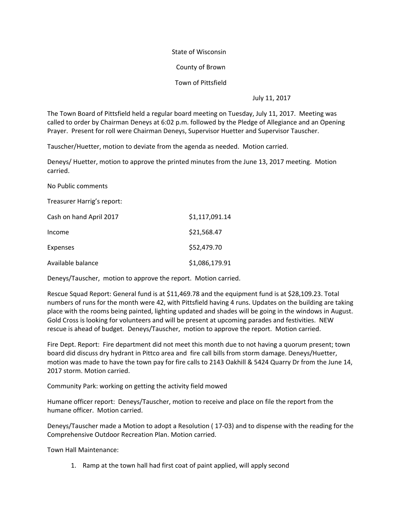State of Wisconsin

County of Brown

Town of Pittsfield

July 11, 2017

The Town Board of Pittsfield held a regular board meeting on Tuesday, July 11, 2017. Meeting was called to order by Chairman Deneys at 6:02 p.m. followed by the Pledge of Allegiance and an Opening Prayer. Present for roll were Chairman Deneys, Supervisor Huetter and Supervisor Tauscher.

Tauscher/Huetter, motion to deviate from the agenda as needed. Motion carried.

Deneys/ Huetter, motion to approve the printed minutes from the June 13, 2017 meeting. Motion carried.

No Public comments

Treasurer Harrig's report:

| Cash on hand April 2017 | \$1,117,091.14 |
|-------------------------|----------------|
| Income                  | \$21,568.47    |
| Expenses                | \$52,479.70    |
| Available balance       | \$1,086,179.91 |

Deneys/Tauscher, motion to approve the report. Motion carried.

Rescue Squad Report: General fund is at \$11,469.78 and the equipment fund is at \$28,109.23. Total numbers of runs for the month were 42, with Pittsfield having 4 runs. Updates on the building are taking place with the rooms being painted, lighting updated and shades will be going in the windows in August. Gold Cross is looking for volunteers and will be present at upcoming parades and festivities. NEW rescue is ahead of budget. Deneys/Tauscher, motion to approve the report. Motion carried.

Fire Dept. Report: Fire department did not meet this month due to not having a quorum present; town board did discuss dry hydrant in Pittco area and fire call bills from storm damage. Deneys/Huetter, motion was made to have the town pay for fire calls to 2143 Oakhill & 5424 Quarry Dr from the June 14, 2017 storm. Motion carried.

Community Park: working on getting the activity field mowed

Humane officer report: Deneys/Tauscher, motion to receive and place on file the report from the humane officer. Motion carried.

Deneys/Tauscher made a Motion to adopt a Resolution ( 17-03) and to dispense with the reading for the Comprehensive Outdoor Recreation Plan. Motion carried.

Town Hall Maintenance:

1. Ramp at the town hall had first coat of paint applied, will apply second